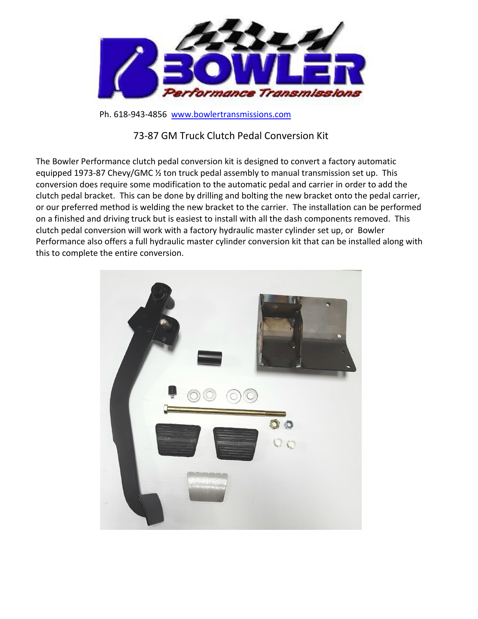

Ph. 618-943-4856 [www.bowlertransmissions.com](http://www.bowlertransmissions.com/)

## 73-87 GM Truck Clutch Pedal Conversion Kit

The Bowler Performance clutch pedal conversion kit is designed to convert a factory automatic equipped 1973-87 Chevy/GMC ½ ton truck pedal assembly to manual transmission set up. This conversion does require some modification to the automatic pedal and carrier in order to add the clutch pedal bracket. This can be done by drilling and bolting the new bracket onto the pedal carrier, or our preferred method is welding the new bracket to the carrier. The installation can be performed on a finished and driving truck but is easiest to install with all the dash components removed. This clutch pedal conversion will work with a factory hydraulic master cylinder set up, or Bowler Performance also offers a full hydraulic master cylinder conversion kit that can be installed along with this to complete the entire conversion.

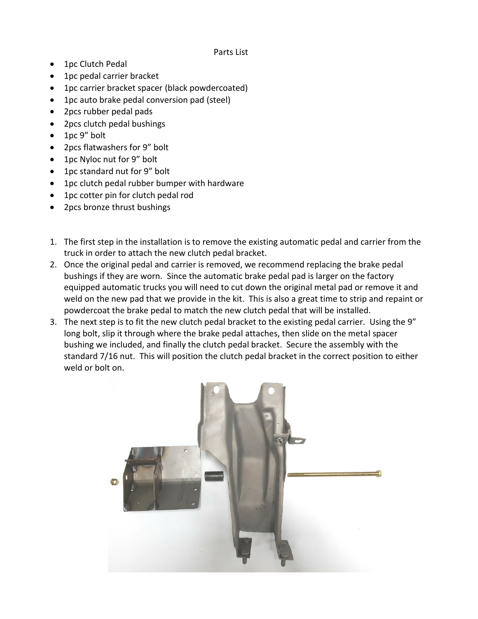## Parts List

- 1pc Clutch Pedal
- 1pc pedal carrier bracket
- 1pc carrier bracket spacer (black powdercoated)
- 1pc auto brake pedal conversion pad (steel)
- 2pcs rubber pedal pads
- 2pcs clutch pedal bushings
- 1pc 9" bolt
- 2pcs flatwashers for 9" bolt
- 1pc Nyloc nut for 9" bolt
- 1 pc standard nut for 9" bolt
- 1pc clutch pedal rubber bumper with hardware
- 1pc cotter pin for clutch pedal rod
- 2pcs bronze thrust bushings
- 1. The first step in the installation is to remove the existing automatic pedal and carrier from the truck in order to attach the new clutch pedal bracket.
- 2. Once the original pedal and carrier is removed, we recommend replacing the brake pedal bushings if they are worn. Since the automatic brake pedal pad is larger on the factory equipped automatic trucks you will need to cut down the original metal pad or remove it and weld on the new pad that we provide in the kit. This is also a great time to strip and repaint or powdercoat the brake pedal to match the new clutch pedal that will be installed.
- 3. The next step is to fit the new clutch pedal bracket to the existing pedal carrier. Using the 9" long bolt, slip it through where the brake pedal attaches, then slide on the metal spacer bushing we included, and finally the clutch pedal bracket. Secure the assembly with the standard 7/16 nut. This will position the clutch pedal bracket in the correct position to either weld or bolt on.

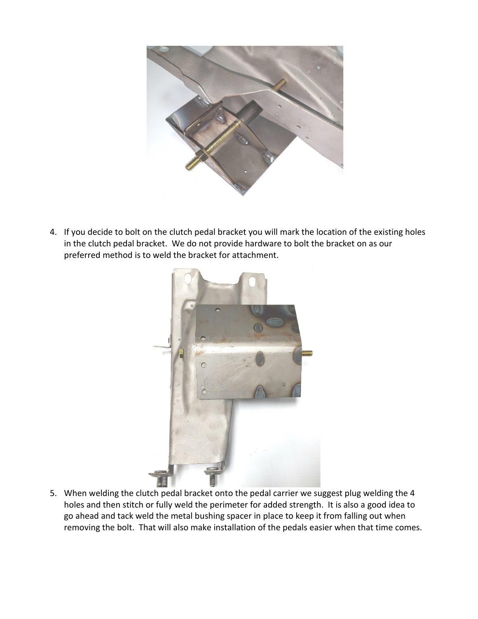

4. If you decide to bolt on the clutch pedal bracket you will mark the location of the existing holes in the clutch pedal bracket. We do not provide hardware to bolt the bracket on as our preferred method is to weld the bracket for attachment.



5. When welding the clutch pedal bracket onto the pedal carrier we suggest plug welding the 4 holes and then stitch or fully weld the perimeter for added strength. It is also a good idea to go ahead and tack weld the metal bushing spacer in place to keep it from falling out when removing the bolt. That will also make installation of the pedals easier when that time comes.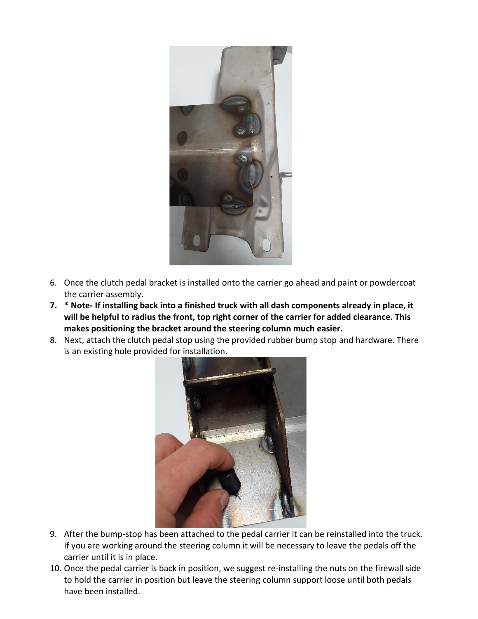

- 6. Once the clutch pedal bracket is installed onto the carrier go ahead and paint or powdercoat the carrier assembly.
- **7. \* Note- If installing back into a finished truck with all dash components already in place, it will be helpful to radius the front, top right corner of the carrier for added clearance. This makes positioning the bracket around the steering column much easier.**
- 8. Next, attach the clutch pedal stop using the provided rubber bump stop and hardware. There is an existing hole provided for installation.



- 9. After the bump-stop has been attached to the pedal carrier it can be reinstalled into the truck. If you are working around the steering column it will be necessary to leave the pedals off the carrier until it is in place.
- 10. Once the pedal carrier is back in position, we suggest re-installing the nuts on the firewall side to hold the carrier in position but leave the steering column support loose until both pedals have been installed.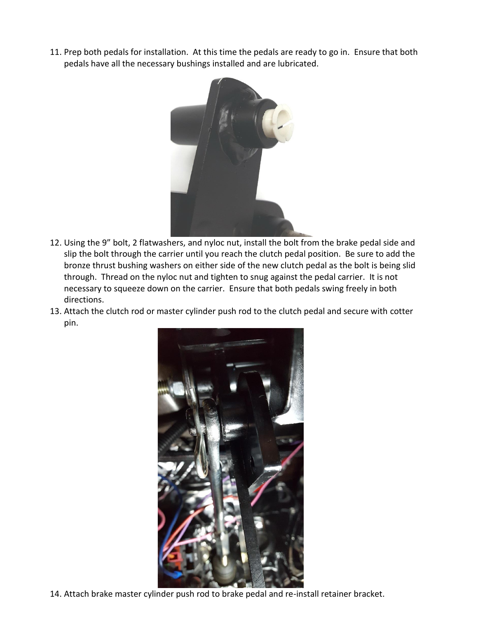11. Prep both pedals for installation. At this time the pedals are ready to go in. Ensure that both pedals have all the necessary bushings installed and are lubricated.



- 12. Using the 9" bolt, 2 flatwashers, and nyloc nut, install the bolt from the brake pedal side and slip the bolt through the carrier until you reach the clutch pedal position. Be sure to add the bronze thrust bushing washers on either side of the new clutch pedal as the bolt is being slid through. Thread on the nyloc nut and tighten to snug against the pedal carrier. It is not necessary to squeeze down on the carrier. Ensure that both pedals swing freely in both directions.
- 13. Attach the clutch rod or master cylinder push rod to the clutch pedal and secure with cotter pin.



14. Attach brake master cylinder push rod to brake pedal and re-install retainer bracket.